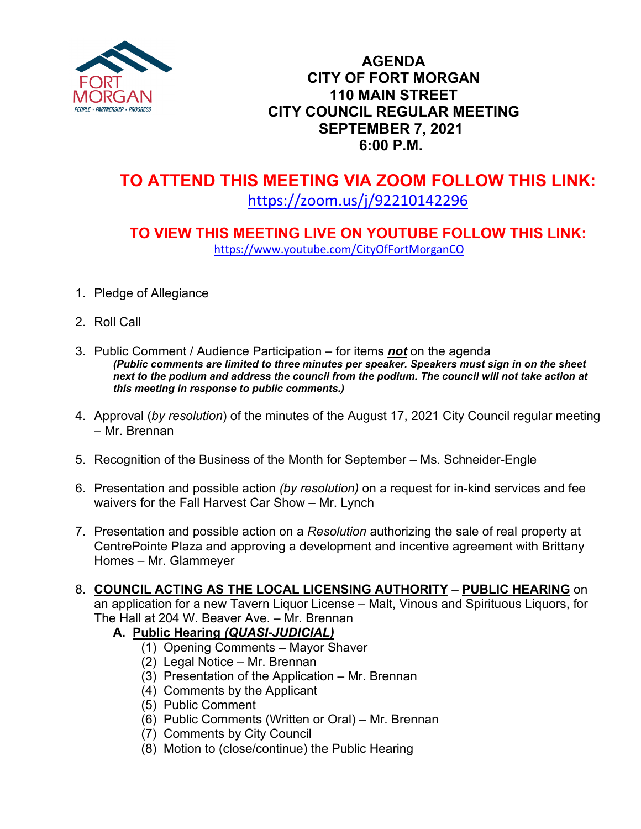

## **AGENDA CITY OF FORT MORGAN 110 MAIN STREET CITY COUNCIL REGULAR MEETING SEPTEMBER 7, 2021 6:00 P.M.**

# **TO ATTEND THIS MEETING VIA ZOOM FOLLOW THIS LINK:** <https://zoom.us/j/92210142296>

## **TO VIEW THIS MEETING LIVE ON YOUTUBE FOLLOW THIS LINK:** <https://www.youtube.com/CityOfFortMorganCO>

- 1. Pledge of Allegiance
- 2. Roll Call
- 3. Public Comment / Audience Participation for items *not* on the agenda *(Public comments are limited to three minutes per speaker. Speakers must sign in on the sheet*  next to the podium and address the council from the podium. The council will not take action at *this meeting in response to public comments.)*
- 4. Approval (*by resolution*) of the minutes of the August 17, 2021 City Council regular meeting – Mr. Brennan
- 5. Recognition of the Business of the Month for September Ms. Schneider-Engle
- 6. Presentation and possible action *(by resolution)* on a request for in-kind services and fee waivers for the Fall Harvest Car Show – Mr. Lynch
- 7. Presentation and possible action on a *Resolution* authorizing the sale of real property at CentrePointe Plaza and approving a development and incentive agreement with Brittany Homes – Mr. Glammeyer
- 8. **COUNCIL ACTING AS THE LOCAL LICENSING AUTHORITY PUBLIC HEARING** on

an application for a new Tavern Liquor License – Malt, Vinous and Spirituous Liquors, for The Hall at 204 W. Beaver Ave. – Mr. Brennan

#### **A.****Public Hearing** *(QUASI-JUDICIAL)*

- (1) Opening Comments Mayor Shaver
- (2) Legal Notice Mr. Brennan
- (3) Presentation of the Application Mr. Brennan
- (4) Comments by the Applicant
- (5) Public Comment
- (6) Public Comments (Written or Oral) Mr. Brennan
- (7) Comments by City Council
- (8) Motion to (close/continue) the Public Hearing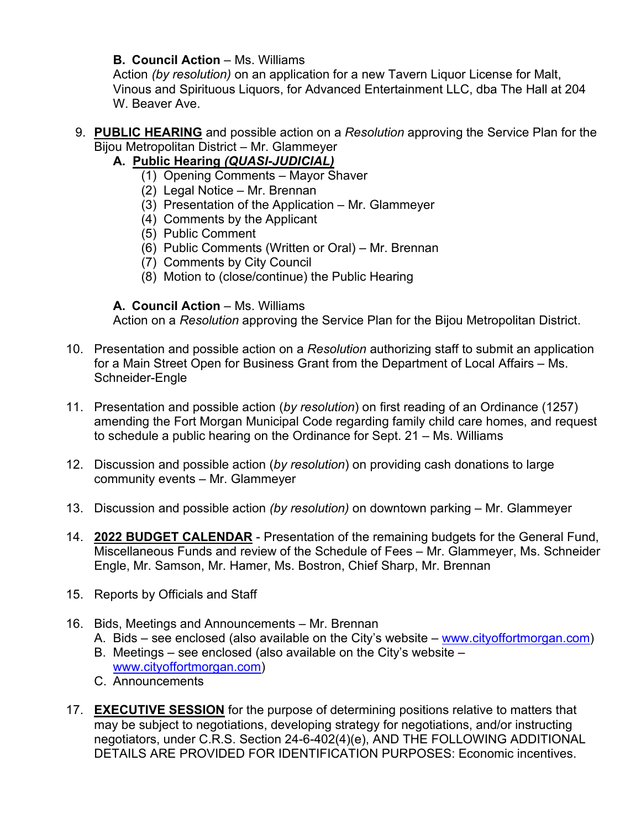#### **B. Council Action** – Ms. Williams

Action *(by resolution)* on an application for a new Tavern Liquor License for Malt, Vinous and Spirituous Liquors, for Advanced Entertainment LLC, dba The Hall at 204 W. Beaver Ave.

9. **PUBLIC HEARING** and possible action on a *Resolution* approving the Service Plan for the Bijou Metropolitan District – Mr. Glammeyer

### **A.****Public Hearing** *(QUASI-JUDICIAL)*

- (1) Opening Comments Mayor Shaver
- (2) Legal Notice Mr. Brennan
- (3) Presentation of the Application Mr. Glammeyer
- (4) Comments by the Applicant
- (5) Public Comment
- (6) Public Comments (Written or Oral) Mr. Brennan
- (7) Comments by City Council
- (8) Motion to (close/continue) the Public Hearing

#### **A. Council Action** – Ms. Williams

Action on a *Resolution* approving the Service Plan for the Bijou Metropolitan District.

- 10. Presentation and possible action on a *Resolution* authorizing staff to submit an application for a Main Street Open for Business Grant from the Department of Local Affairs – Ms. Schneider-Engle
- 11. Presentation and possible action (*by resolution*) on first reading of an Ordinance (1257) amending the Fort Morgan Municipal Code regarding family child care homes, and request to schedule a public hearing on the Ordinance for Sept. 21 – Ms. Williams
- 12. Discussion and possible action (*by resolution*) on providing cash donations to large community events – Mr. Glammeyer
- 13. Discussion and possible action *(by resolution)* on downtown parking Mr. Glammeyer
- 14. **2022 BUDGET CALENDAR** Presentation of the remaining budgets for the General Fund, Miscellaneous Funds and review of the Schedule of Fees – Mr. Glammeyer, Ms. Schneider Engle, Mr. Samson, Mr. Hamer, Ms. Bostron, Chief Sharp, Mr. Brennan
- 15. Reports by Officials and Staff
- 16. Bids, Meetings and Announcements Mr. Brennan
	- A. Bids see enclosed (also available on the City's website [www.cityoffortmorgan.com\)](http://www.cityoffortmorgan.com/)
	- B. Meetings see enclosed (also available on the City's website [www.cityoffortmorgan.com\)](http://www.cityoffortmorgan.com/)
	- C. Announcements
- 17. **EXECUTIVE SESSION** for the purpose of determining positions relative to matters that may be subject to negotiations, developing strategy for negotiations, and/or instructing negotiators, under C.R.S. Section 24-6-402(4)(e), AND THE FOLLOWING ADDITIONAL DETAILS ARE PROVIDED FOR IDENTIFICATION PURPOSES: Economic incentives.